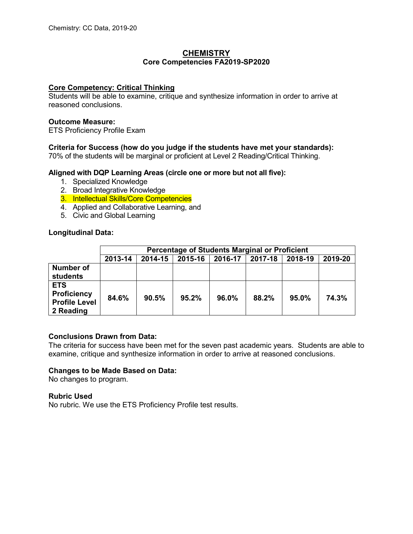## **CHEMISTRY Core Competencies FA2019-SP2020**

## **Core Competency: Critical Thinking**

Students will be able to examine, critique and synthesize information in order to arrive at reasoned conclusions.

## **Outcome Measure:**

ETS Proficiency Profile Exam

# **Criteria for Success (how do you judge if the students have met your standards):**

70% of the students will be marginal or proficient at Level 2 Reading/Critical Thinking.

## **Aligned with DQP Learning Areas (circle one or more but not all five):**

- 1. Specialized Knowledge
- 2. Broad Integrative Knowledge
- 3. Intellectual Skills/Core Competencies
- 4. Applied and Collaborative Learning, and
- 5. Civic and Global Learning

# **Longitudinal Data:**

|                                                                       | Percentage of Students Marginal or Proficient |         |         |         |         |         |         |
|-----------------------------------------------------------------------|-----------------------------------------------|---------|---------|---------|---------|---------|---------|
|                                                                       | 2013-14                                       | 2014-15 | 2015-16 | 2016-17 | 2017-18 | 2018-19 | 2019-20 |
| <b>Number of</b><br><b>students</b>                                   |                                               |         |         |         |         |         |         |
| <b>ETS</b><br><b>Proficiency</b><br><b>Profile Level</b><br>2 Reading | 84.6%                                         | 90.5%   | 95.2%   | 96.0%   | 88.2%   | 95.0%   | 74.3%   |

## **Conclusions Drawn from Data:**

The criteria for success have been met for the seven past academic years. Students are able to examine, critique and synthesize information in order to arrive at reasoned conclusions.

## **Changes to be Made Based on Data:**

No changes to program.

## **Rubric Used**

No rubric. We use the ETS Proficiency Profile test results.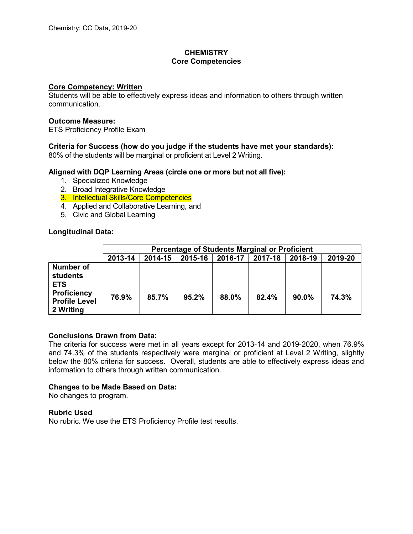# **CHEMISTRY Core Competencies**

## **Core Competency: Written**

Students will be able to effectively express ideas and information to others through written communication.

### **Outcome Measure:**

ETS Proficiency Profile Exam

# **Criteria for Success (how do you judge if the students have met your standards):**

80% of the students will be marginal or proficient at Level 2 Writing.

## **Aligned with DQP Learning Areas (circle one or more but not all five):**

- 1. Specialized Knowledge
- 2. Broad Integrative Knowledge
- 3. Intellectual Skills/Core Competencies
- 4. Applied and Collaborative Learning, and
- 5. Civic and Global Learning

## **Longitudinal Data:**

|                                                                       | <b>Percentage of Students Marginal or Proficient</b> |         |         |         |         |          |         |
|-----------------------------------------------------------------------|------------------------------------------------------|---------|---------|---------|---------|----------|---------|
|                                                                       | 2013-14                                              | 2014-15 | 2015-16 | 2016-17 | 2017-18 | 2018-19  | 2019-20 |
| <b>Number of</b><br>students                                          |                                                      |         |         |         |         |          |         |
| <b>ETS</b><br><b>Proficiency</b><br><b>Profile Level</b><br>2 Writing | 76.9%                                                | 85.7%   | 95.2%   | 88.0%   | 82.4%   | $90.0\%$ | 74.3%   |

## **Conclusions Drawn from Data:**

The criteria for success were met in all years except for 2013-14 and 2019-2020, when 76.9% and 74.3% of the students respectively were marginal or proficient at Level 2 Writing, slightly below the 80% criteria for success. Overall, students are able to effectively express ideas and information to others through written communication.

## **Changes to be Made Based on Data:**

No changes to program.

## **Rubric Used**

No rubric. We use the ETS Proficiency Profile test results.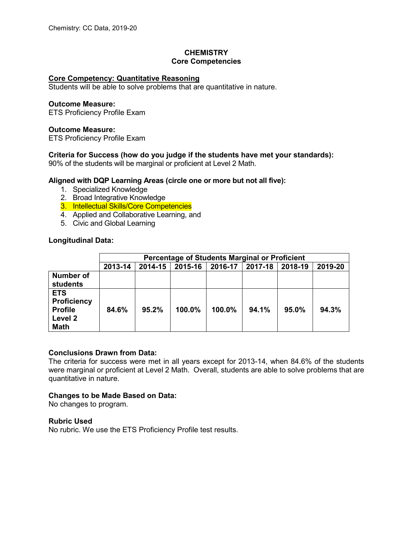# **CHEMISTRY Core Competencies**

## **Core Competency: Quantitative Reasoning**

Students will be able to solve problems that are quantitative in nature.

#### **Outcome Measure:**

ETS Proficiency Profile Exam

#### **Outcome Measure:**

ETS Proficiency Profile Exam

## **Criteria for Success (how do you judge if the students have met your standards):**

90% of the students will be marginal or proficient at Level 2 Math.

## **Aligned with DQP Learning Areas (circle one or more but not all five):**

- 1. Specialized Knowledge
- 2. Broad Integrative Knowledge
- 3. Intellectual Skills/Core Competencies
- 4. Applied and Collaborative Learning, and
- 5. Civic and Global Learning

#### **Longitudinal Data:**

|                                                                              | Percentage of Students Marginal or Proficient |         |         |         |         |         |         |
|------------------------------------------------------------------------------|-----------------------------------------------|---------|---------|---------|---------|---------|---------|
|                                                                              | 2013-14                                       | 2014-15 | 2015-16 | 2016-17 | 2017-18 | 2018-19 | 2019-20 |
| <b>Number of</b><br><b>students</b>                                          |                                               |         |         |         |         |         |         |
| <b>ETS</b><br><b>Proficiency</b><br><b>Profile</b><br>Level 2<br><b>Math</b> | 84.6%                                         | 95.2%   | 100.0%  | 100.0%  | 94.1%   | 95.0%   | 94.3%   |

## **Conclusions Drawn from Data:**

The criteria for success were met in all years except for 2013-14, when 84.6% of the students were marginal or proficient at Level 2 Math. Overall, students are able to solve problems that are quantitative in nature.

## **Changes to be Made Based on Data:**

No changes to program.

#### **Rubric Used**

No rubric. We use the ETS Proficiency Profile test results.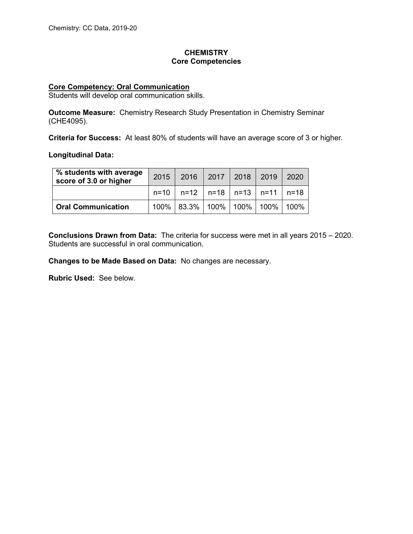# **CHEMISTRY Core Competencies**

## **Core Competency: Oral Communication**

Students will develop oral communication skills.

**Outcome Measure:** Chemistry Research Study Presentation in Chemistry Seminar (CHE4095).

**Criteria for Success:** At least 80% of students will have an average score of 3 or higher.

**Longitudinal Data:**

| % students with average<br>score of 3.0 or higher | 2015 2016 2017 2018 2019                  |  | 2020 |
|---------------------------------------------------|-------------------------------------------|--|------|
|                                                   | $n=10$   n=12   n=18   n=13   n=11   n=18 |  |      |
| <b>Oral Communication</b>                         | 100%   83.3%   100%   100%   100%   100%  |  |      |

**Conclusions Drawn from Data:** The criteria for success were met in all years 2015 – 2020. Students are successful in oral communication.

**Changes to be Made Based on Data:** No changes are necessary.

**Rubric Used:** See below.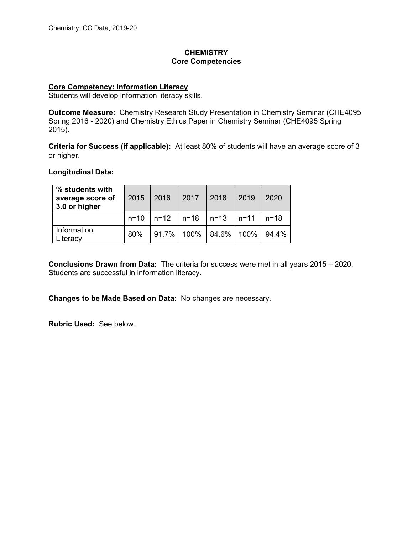# **CHEMISTRY Core Competencies**

## **Core Competency: Information Literacy**

Students will develop information literacy skills.

**Outcome Measure:** Chemistry Research Study Presentation in Chemistry Seminar (CHE4095 Spring 2016 - 2020) and Chemistry Ethics Paper in Chemistry Seminar (CHE4095 Spring 2015).

**Criteria for Success (if applicable):** At least 80% of students will have an average score of 3 or higher.

# **Longitudinal Data:**

| % students with<br>average score of<br>3.0 or higher |     | 2015   2016   2017   2018                           |  | $\vert$ 2019 | 2020                                                                |
|------------------------------------------------------|-----|-----------------------------------------------------|--|--------------|---------------------------------------------------------------------|
|                                                      |     | $n=10$   $n=12$   $n=18$   $n=13$   $n=11$   $n=18$ |  |              |                                                                     |
| Information<br>Literacy                              | 80% |                                                     |  |              | $\vert$ 91.7% $\vert$ 100% $\vert$ 84.6% $\vert$ 100% $\vert$ 94.4% |

**Conclusions Drawn from Data:** The criteria for success were met in all years 2015 – 2020. Students are successful in information literacy.

**Changes to be Made Based on Data:** No changes are necessary.

**Rubric Used:** See below.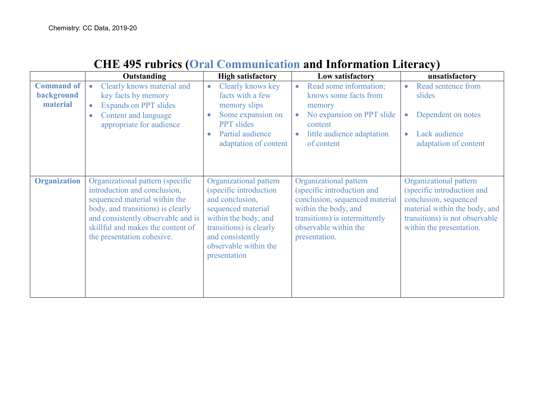|                                             | <b>Outstanding</b>                                                                                                                                                                                                                              | <b>High satisfactory</b>                                                                                                                                                                                  | Low satisfactory                                                                                                                                                                           | unsatisfactory                                                                                                                                                               |
|---------------------------------------------|-------------------------------------------------------------------------------------------------------------------------------------------------------------------------------------------------------------------------------------------------|-----------------------------------------------------------------------------------------------------------------------------------------------------------------------------------------------------------|--------------------------------------------------------------------------------------------------------------------------------------------------------------------------------------------|------------------------------------------------------------------------------------------------------------------------------------------------------------------------------|
| <b>Command of</b><br>background<br>material | Clearly knows material and<br>key facts by memory<br><b>Expands on PPT slides</b><br>Content and language<br>appropriate for audience                                                                                                           | Clearly knows key<br>$\bullet$<br>facts with a few<br>memory slips<br>Some expansion on<br>$\bullet$<br><b>PPT</b> slides<br>Partial audience<br>$\bullet$<br>adaptation of content                       | Read some information;<br>$\bullet$<br>knows some facts from<br>memory<br>No expansion on PPT slide<br>$\bullet$<br>content<br>little audience adaptation<br>of content                    | Read sentence from<br>slides<br>Dependent on notes<br>$\bullet$<br>Lack audience<br>adaptation of content                                                                    |
| <b>Organization</b>                         | Organizational pattern (specific<br>introduction and conclusion,<br>sequenced material within the<br>body, and transitions) is clearly<br>and consistently observable and is<br>skillful and makes the content of<br>the presentation cohesive. | Organizational pattern<br>(specific introduction<br>and conclusion,<br>sequenced material<br>within the body, and<br>transitions) is clearly<br>and consistently<br>observable within the<br>presentation | Organizational pattern<br>(specific introduction and<br>conclusion, sequenced material<br>within the body, and<br>transitions) is intermittently<br>observable within the<br>presentation. | Organizational pattern<br>(specific introduction and<br>conclusion, sequenced<br>material within the body, and<br>transitions) is not observable<br>within the presentation. |

# **CHE 495 rubrics (Oral Communication and Information Literacy)**